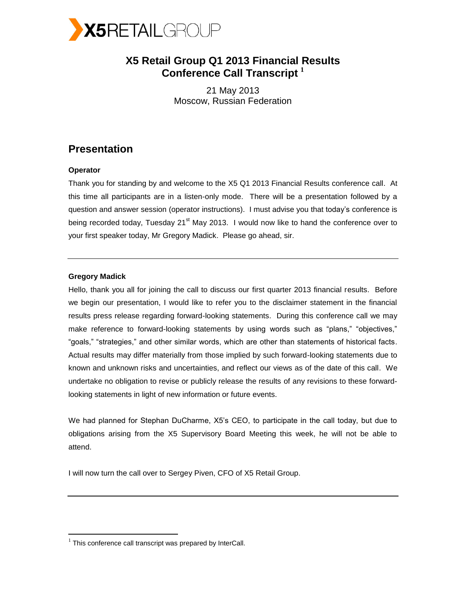

# **X5 Retail Group Q1 2013 Financial Results Conference Call Transcript <sup>1</sup>**

21 May 2013 Moscow, Russian Federation

# **Presentation**

# **Operator**

Thank you for standing by and welcome to the X5 Q1 2013 Financial Results conference call. At this time all participants are in a listen-only mode. There will be a presentation followed by a question and answer session (operator instructions). I must advise you that today's conference is being recorded today, Tuesday 21<sup>st</sup> May 2013. I would now like to hand the conference over to your first speaker today, Mr Gregory Madick. Please go ahead, sir.

# **Gregory Madick**

 $\overline{a}$ 

Hello, thank you all for joining the call to discuss our first quarter 2013 financial results. Before we begin our presentation, I would like to refer you to the disclaimer statement in the financial results press release regarding forward-looking statements. During this conference call we may make reference to forward-looking statements by using words such as "plans," "objectives," "goals," "strategies," and other similar words, which are other than statements of historical facts. Actual results may differ materially from those implied by such forward-looking statements due to known and unknown risks and uncertainties, and reflect our views as of the date of this call. We undertake no obligation to revise or publicly release the results of any revisions to these forwardlooking statements in light of new information or future events.

We had planned for Stephan DuCharme, X5's CEO, to participate in the call today, but due to obligations arising from the X5 Supervisory Board Meeting this week, he will not be able to attend.

I will now turn the call over to Sergey Piven, CFO of X5 Retail Group.

 $1$  This conference call transcript was prepared by InterCall.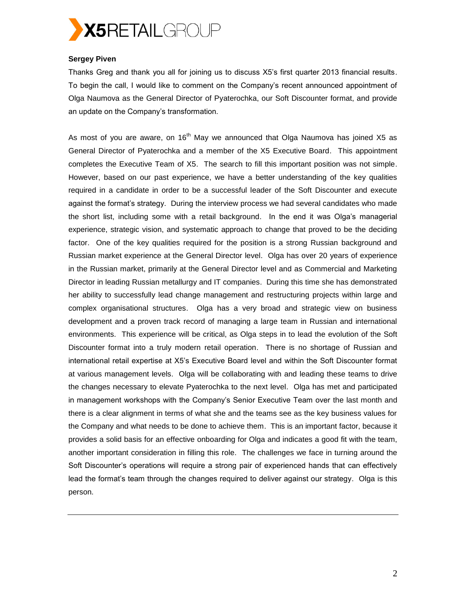

# **Sergey Piven**

Thanks Greg and thank you all for joining us to discuss X5's first quarter 2013 financial results. To begin the call, I would like to comment on the Company's recent announced appointment of Olga Naumova as the General Director of Pyaterochka, our Soft Discounter format, and provide an update on the Company's transformation.

As most of you are aware, on  $16<sup>th</sup>$  May we announced that Olga Naumova has joined X5 as General Director of Pyaterochka and a member of the X5 Executive Board. This appointment completes the Executive Team of X5. The search to fill this important position was not simple. However, based on our past experience, we have a better understanding of the key qualities required in a candidate in order to be a successful leader of the Soft Discounter and execute against the format's strategy. During the interview process we had several candidates who made the short list, including some with a retail background. In the end it was Olga's managerial experience, strategic vision, and systematic approach to change that proved to be the deciding factor. One of the key qualities required for the position is a strong Russian background and Russian market experience at the General Director level. Olga has over 20 years of experience in the Russian market, primarily at the General Director level and as Commercial and Marketing Director in leading Russian metallurgy and IT companies. During this time she has demonstrated her ability to successfully lead change management and restructuring projects within large and complex organisational structures. Olga has a very broad and strategic view on business development and a proven track record of managing a large team in Russian and international environments. This experience will be critical, as Olga steps in to lead the evolution of the Soft Discounter format into a truly modern retail operation. There is no shortage of Russian and international retail expertise at X5's Executive Board level and within the Soft Discounter format at various management levels. Olga will be collaborating with and leading these teams to drive the changes necessary to elevate Pyaterochka to the next level. Olga has met and participated in management workshops with the Company's Senior Executive Team over the last month and there is a clear alignment in terms of what she and the teams see as the key business values for the Company and what needs to be done to achieve them. This is an important factor, because it provides a solid basis for an effective onboarding for Olga and indicates a good fit with the team, another important consideration in filling this role. The challenges we face in turning around the Soft Discounter's operations will require a strong pair of experienced hands that can effectively lead the format's team through the changes required to deliver against our strategy. Olga is this person.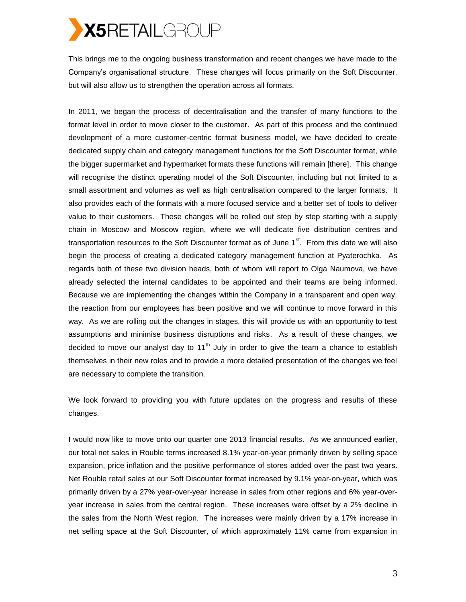# X5RETAILGROUP

This brings me to the ongoing business transformation and recent changes we have made to the Company's organisational structure. These changes will focus primarily on the Soft Discounter, but will also allow us to strengthen the operation across all formats.

In 2011, we began the process of decentralisation and the transfer of many functions to the format level in order to move closer to the customer. As part of this process and the continued development of a more customer-centric format business model, we have decided to create dedicated supply chain and category management functions for the Soft Discounter format, while the bigger supermarket and hypermarket formats these functions will remain [there]. This change will recognise the distinct operating model of the Soft Discounter, including but not limited to a small assortment and volumes as well as high centralisation compared to the larger formats. It also provides each of the formats with a more focused service and a better set of tools to deliver value to their customers. These changes will be rolled out step by step starting with a supply chain in Moscow and Moscow region, where we will dedicate five distribution centres and transportation resources to the Soft Discounter format as of June  $1<sup>st</sup>$ . From this date we will also begin the process of creating a dedicated category management function at Pyaterochka. As regards both of these two division heads, both of whom will report to Olga Naumova, we have already selected the internal candidates to be appointed and their teams are being informed. Because we are implementing the changes within the Company in a transparent and open way, the reaction from our employees has been positive and we will continue to move forward in this way. As we are rolling out the changes in stages, this will provide us with an opportunity to test assumptions and minimise business disruptions and risks. As a result of these changes, we decided to move our analyst day to 11<sup>th</sup> July in order to give the team a chance to establish themselves in their new roles and to provide a more detailed presentation of the changes we feel are necessary to complete the transition.

We look forward to providing you with future updates on the progress and results of these changes.

I would now like to move onto our quarter one 2013 financial results. As we announced earlier, our total net sales in Rouble terms increased 8.1% year-on-year primarily driven by selling space expansion, price inflation and the positive performance of stores added over the past two years. Net Rouble retail sales at our Soft Discounter format increased by 9.1% year-on-year, which was primarily driven by a 27% year-over-year increase in sales from other regions and 6% year-overyear increase in sales from the central region. These increases were offset by a 2% decline in the sales from the North West region. The increases were mainly driven by a 17% increase in net selling space at the Soft Discounter, of which approximately 11% came from expansion in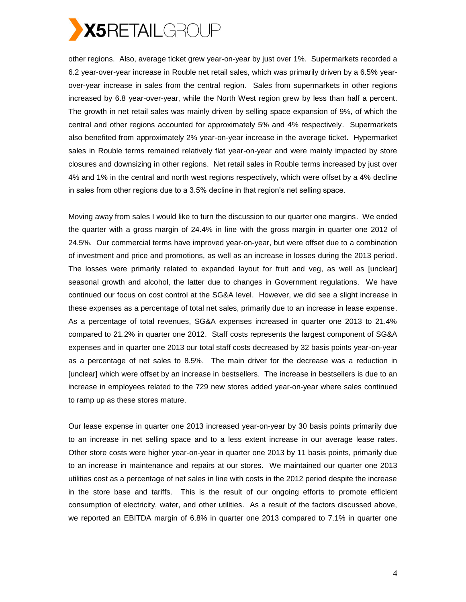

other regions. Also, average ticket grew year-on-year by just over 1%. Supermarkets recorded a 6.2 year-over-year increase in Rouble net retail sales, which was primarily driven by a 6.5% yearover-year increase in sales from the central region. Sales from supermarkets in other regions increased by 6.8 year-over-year, while the North West region grew by less than half a percent. The growth in net retail sales was mainly driven by selling space expansion of 9%, of which the central and other regions accounted for approximately 5% and 4% respectively. Supermarkets also benefited from approximately 2% year-on-year increase in the average ticket. Hypermarket sales in Rouble terms remained relatively flat year-on-year and were mainly impacted by store closures and downsizing in other regions. Net retail sales in Rouble terms increased by just over 4% and 1% in the central and north west regions respectively, which were offset by a 4% decline in sales from other regions due to a 3.5% decline in that region's net selling space.

Moving away from sales I would like to turn the discussion to our quarter one margins. We ended the quarter with a gross margin of 24.4% in line with the gross margin in quarter one 2012 of 24.5%. Our commercial terms have improved year-on-year, but were offset due to a combination of investment and price and promotions, as well as an increase in losses during the 2013 period. The losses were primarily related to expanded layout for fruit and veg, as well as [unclear] seasonal growth and alcohol, the latter due to changes in Government regulations. We have continued our focus on cost control at the SG&A level. However, we did see a slight increase in these expenses as a percentage of total net sales, primarily due to an increase in lease expense. As a percentage of total revenues, SG&A expenses increased in quarter one 2013 to 21.4% compared to 21.2% in quarter one 2012. Staff costs represents the largest component of SG&A expenses and in quarter one 2013 our total staff costs decreased by 32 basis points year-on-year as a percentage of net sales to 8.5%. The main driver for the decrease was a reduction in [unclear] which were offset by an increase in bestsellers. The increase in bestsellers is due to an increase in employees related to the 729 new stores added year-on-year where sales continued to ramp up as these stores mature.

Our lease expense in quarter one 2013 increased year-on-year by 30 basis points primarily due to an increase in net selling space and to a less extent increase in our average lease rates. Other store costs were higher year-on-year in quarter one 2013 by 11 basis points, primarily due to an increase in maintenance and repairs at our stores. We maintained our quarter one 2013 utilities cost as a percentage of net sales in line with costs in the 2012 period despite the increase in the store base and tariffs. This is the result of our ongoing efforts to promote efficient consumption of electricity, water, and other utilities. As a result of the factors discussed above, we reported an EBITDA margin of 6.8% in quarter one 2013 compared to 7.1% in quarter one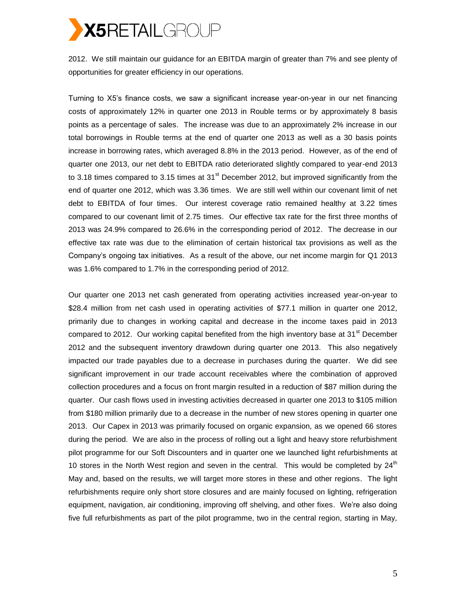

2012. We still maintain our guidance for an EBITDA margin of greater than 7% and see plenty of opportunities for greater efficiency in our operations.

Turning to X5's finance costs, we saw a significant increase year-on-year in our net financing costs of approximately 12% in quarter one 2013 in Rouble terms or by approximately 8 basis points as a percentage of sales. The increase was due to an approximately 2% increase in our total borrowings in Rouble terms at the end of quarter one 2013 as well as a 30 basis points increase in borrowing rates, which averaged 8.8% in the 2013 period. However, as of the end of quarter one 2013, our net debt to EBITDA ratio deteriorated slightly compared to year-end 2013 to 3.18 times compared to 3.15 times at 31 $^{\rm st}$  December 2012, but improved significantly from the end of quarter one 2012, which was 3.36 times. We are still well within our covenant limit of net debt to EBITDA of four times. Our interest coverage ratio remained healthy at 3.22 times compared to our covenant limit of 2.75 times. Our effective tax rate for the first three months of 2013 was 24.9% compared to 26.6% in the corresponding period of 2012. The decrease in our effective tax rate was due to the elimination of certain historical tax provisions as well as the Company's ongoing tax initiatives. As a result of the above, our net income margin for Q1 2013 was 1.6% compared to 1.7% in the corresponding period of 2012.

Our quarter one 2013 net cash generated from operating activities increased year-on-year to \$28.4 million from net cash used in operating activities of \$77.1 million in quarter one 2012, primarily due to changes in working capital and decrease in the income taxes paid in 2013 compared to 2012. Our working capital benefited from the high inventory base at 31 $^{\rm st}$  December 2012 and the subsequent inventory drawdown during quarter one 2013. This also negatively impacted our trade payables due to a decrease in purchases during the quarter. We did see significant improvement in our trade account receivables where the combination of approved collection procedures and a focus on front margin resulted in a reduction of \$87 million during the quarter. Our cash flows used in investing activities decreased in quarter one 2013 to \$105 million from \$180 million primarily due to a decrease in the number of new stores opening in quarter one 2013. Our Capex in 2013 was primarily focused on organic expansion, as we opened 66 stores during the period. We are also in the process of rolling out a light and heavy store refurbishment pilot programme for our Soft Discounters and in quarter one we launched light refurbishments at 10 stores in the North West region and seven in the central. This would be completed by  $24<sup>th</sup>$ May and, based on the results, we will target more stores in these and other regions. The light refurbishments require only short store closures and are mainly focused on lighting, refrigeration equipment, navigation, air conditioning, improving off shelving, and other fixes. We're also doing five full refurbishments as part of the pilot programme, two in the central region, starting in May,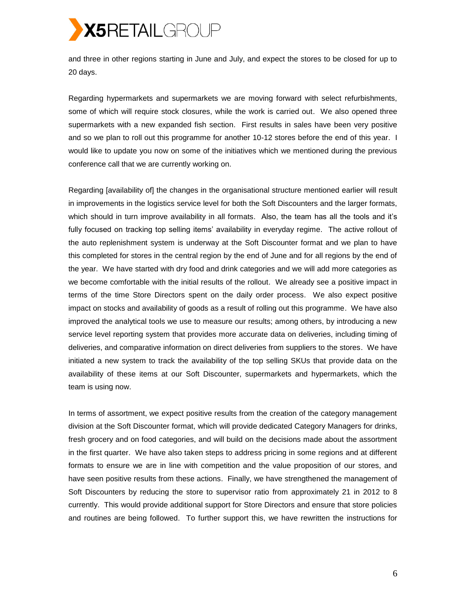

and three in other regions starting in June and July, and expect the stores to be closed for up to 20 days.

Regarding hypermarkets and supermarkets we are moving forward with select refurbishments, some of which will require stock closures, while the work is carried out. We also opened three supermarkets with a new expanded fish section. First results in sales have been very positive and so we plan to roll out this programme for another 10-12 stores before the end of this year. I would like to update you now on some of the initiatives which we mentioned during the previous conference call that we are currently working on.

Regarding [availability of] the changes in the organisational structure mentioned earlier will result in improvements in the logistics service level for both the Soft Discounters and the larger formats, which should in turn improve availability in all formats. Also, the team has all the tools and it's fully focused on tracking top selling items' availability in everyday regime. The active rollout of the auto replenishment system is underway at the Soft Discounter format and we plan to have this completed for stores in the central region by the end of June and for all regions by the end of the year. We have started with dry food and drink categories and we will add more categories as we become comfortable with the initial results of the rollout. We already see a positive impact in terms of the time Store Directors spent on the daily order process. We also expect positive impact on stocks and availability of goods as a result of rolling out this programme. We have also improved the analytical tools we use to measure our results; among others, by introducing a new service level reporting system that provides more accurate data on deliveries, including timing of deliveries, and comparative information on direct deliveries from suppliers to the stores. We have initiated a new system to track the availability of the top selling SKUs that provide data on the availability of these items at our Soft Discounter, supermarkets and hypermarkets, which the team is using now.

In terms of assortment, we expect positive results from the creation of the category management division at the Soft Discounter format, which will provide dedicated Category Managers for drinks, fresh grocery and on food categories, and will build on the decisions made about the assortment in the first quarter. We have also taken steps to address pricing in some regions and at different formats to ensure we are in line with competition and the value proposition of our stores, and have seen positive results from these actions. Finally, we have strengthened the management of Soft Discounters by reducing the store to supervisor ratio from approximately 21 in 2012 to 8 currently. This would provide additional support for Store Directors and ensure that store policies and routines are being followed. To further support this, we have rewritten the instructions for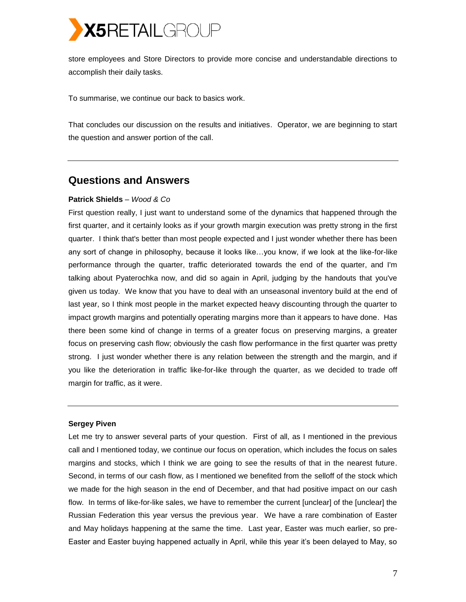

store employees and Store Directors to provide more concise and understandable directions to accomplish their daily tasks.

To summarise, we continue our back to basics work.

That concludes our discussion on the results and initiatives. Operator, we are beginning to start the question and answer portion of the call.

# **Questions and Answers**

# **Patrick Shields** *– Wood & Co*

First question really, I just want to understand some of the dynamics that happened through the first quarter, and it certainly looks as if your growth margin execution was pretty strong in the first quarter. I think that's better than most people expected and I just wonder whether there has been any sort of change in philosophy, because it looks like…you know, if we look at the like-for-like performance through the quarter, traffic deteriorated towards the end of the quarter, and I'm talking about Pyaterochka now, and did so again in April, judging by the handouts that you've given us today. We know that you have to deal with an unseasonal inventory build at the end of last year, so I think most people in the market expected heavy discounting through the quarter to impact growth margins and potentially operating margins more than it appears to have done. Has there been some kind of change in terms of a greater focus on preserving margins, a greater focus on preserving cash flow; obviously the cash flow performance in the first quarter was pretty strong. I just wonder whether there is any relation between the strength and the margin, and if you like the deterioration in traffic like-for-like through the quarter, as we decided to trade off margin for traffic, as it were.

# **Sergey Piven**

Let me try to answer several parts of your question. First of all, as I mentioned in the previous call and I mentioned today, we continue our focus on operation, which includes the focus on sales margins and stocks, which I think we are going to see the results of that in the nearest future. Second, in terms of our cash flow, as I mentioned we benefited from the selloff of the stock which we made for the high season in the end of December, and that had positive impact on our cash flow. In terms of like-for-like sales, we have to remember the current [unclear] of the [unclear] the Russian Federation this year versus the previous year. We have a rare combination of Easter and May holidays happening at the same the time. Last year, Easter was much earlier, so pre-Easter and Easter buying happened actually in April, while this year it's been delayed to May, so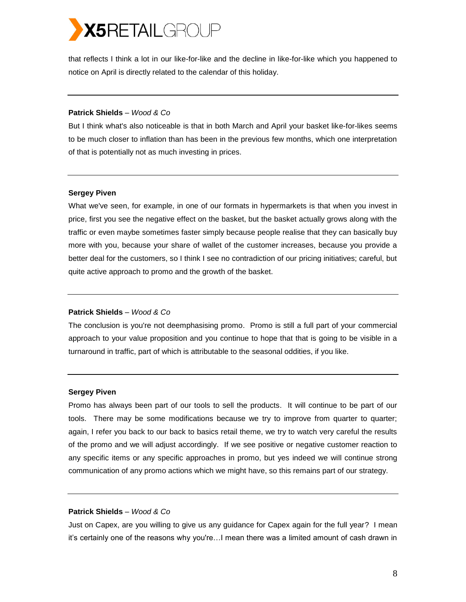# **X5RETAILGROUP**

that reflects I think a lot in our like-for-like and the decline in like-for-like which you happened to notice on April is directly related to the calendar of this holiday.

## **Patrick Shields** *– Wood & Co*

But I think what's also noticeable is that in both March and April your basket like-for-likes seems to be much closer to inflation than has been in the previous few months, which one interpretation of that is potentially not as much investing in prices.

# **Sergey Piven**

What we've seen, for example, in one of our formats in hypermarkets is that when you invest in price, first you see the negative effect on the basket, but the basket actually grows along with the traffic or even maybe sometimes faster simply because people realise that they can basically buy more with you, because your share of wallet of the customer increases, because you provide a better deal for the customers, so I think I see no contradiction of our pricing initiatives; careful, but quite active approach to promo and the growth of the basket.

# **Patrick Shields** *– Wood & Co*

The conclusion is you're not deemphasising promo. Promo is still a full part of your commercial approach to your value proposition and you continue to hope that that is going to be visible in a turnaround in traffic, part of which is attributable to the seasonal oddities, if you like.

# **Sergey Piven**

Promo has always been part of our tools to sell the products. It will continue to be part of our tools. There may be some modifications because we try to improve from quarter to quarter; again, I refer you back to our back to basics retail theme, we try to watch very careful the results of the promo and we will adjust accordingly. If we see positive or negative customer reaction to any specific items or any specific approaches in promo, but yes indeed we will continue strong communication of any promo actions which we might have, so this remains part of our strategy.

# **Patrick Shields** *– Wood & Co*

Just on Capex, are you willing to give us any guidance for Capex again for the full year? I mean it's certainly one of the reasons why you're…I mean there was a limited amount of cash drawn in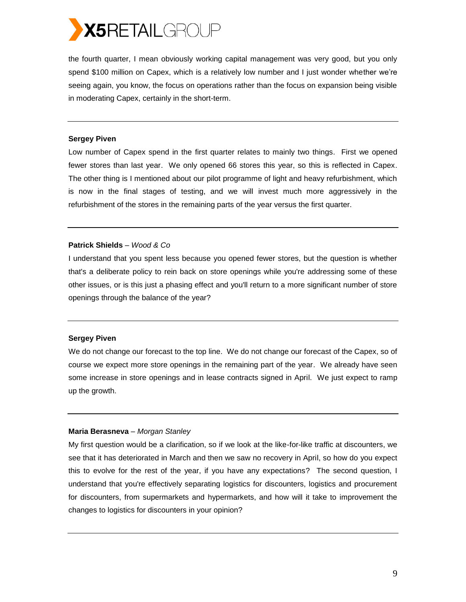

the fourth quarter, I mean obviously working capital management was very good, but you only spend \$100 million on Capex, which is a relatively low number and I just wonder whether we're seeing again, you know, the focus on operations rather than the focus on expansion being visible in moderating Capex, certainly in the short-term.

#### **Sergey Piven**

Low number of Capex spend in the first quarter relates to mainly two things. First we opened fewer stores than last year. We only opened 66 stores this year, so this is reflected in Capex. The other thing is I mentioned about our pilot programme of light and heavy refurbishment, which is now in the final stages of testing, and we will invest much more aggressively in the refurbishment of the stores in the remaining parts of the year versus the first quarter.

#### **Patrick Shields** *– Wood & Co*

I understand that you spent less because you opened fewer stores, but the question is whether that's a deliberate policy to rein back on store openings while you're addressing some of these other issues, or is this just a phasing effect and you'll return to a more significant number of store openings through the balance of the year?

#### **Sergey Piven**

We do not change our forecast to the top line. We do not change our forecast of the Capex, so of course we expect more store openings in the remaining part of the year. We already have seen some increase in store openings and in lease contracts signed in April. We just expect to ramp up the growth.

## **Maria Berasneva** *– Morgan Stanley*

My first question would be a clarification, so if we look at the like-for-like traffic at discounters, we see that it has deteriorated in March and then we saw no recovery in April, so how do you expect this to evolve for the rest of the year, if you have any expectations? The second question, I understand that you're effectively separating logistics for discounters, logistics and procurement for discounters, from supermarkets and hypermarkets, and how will it take to improvement the changes to logistics for discounters in your opinion?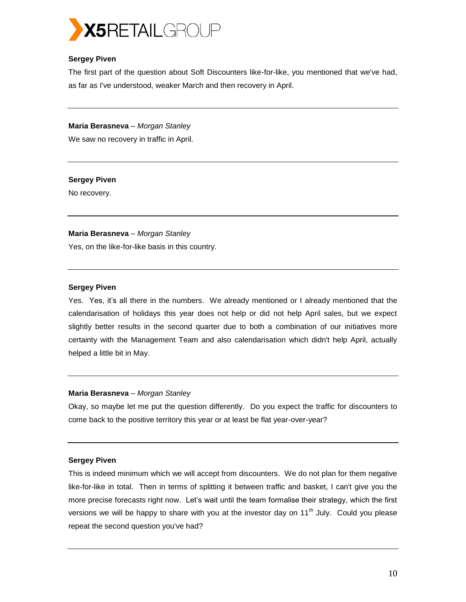

# **Sergey Piven**

The first part of the question about Soft Discounters like-for-like, you mentioned that we've had, as far as I've understood, weaker March and then recovery in April.

**Maria Berasneva** *– Morgan Stanley* We saw no recovery in traffic in April.

# **Sergey Piven**

No recovery.

# **Maria Berasneva** *– Morgan Stanley*

Yes, on the like-for-like basis in this country.

## **Sergey Piven**

Yes. Yes, it's all there in the numbers. We already mentioned or I already mentioned that the calendarisation of holidays this year does not help or did not help April sales, but we expect slightly better results in the second quarter due to both a combination of our initiatives more certainty with the Management Team and also calendarisation which didn't help April, actually helped a little bit in May.

# **Maria Berasneva** *– Morgan Stanley*

Okay, so maybe let me put the question differently. Do you expect the traffic for discounters to come back to the positive territory this year or at least be flat year-over-year?

# **Sergey Piven**

This is indeed minimum which we will accept from discounters. We do not plan for them negative like-for-like in total. Then in terms of splitting it between traffic and basket, I can't give you the more precise forecasts right now. Let's wait until the team formalise their strategy, which the first versions we will be happy to share with you at the investor day on  $11<sup>th</sup>$  July. Could you please repeat the second question you've had?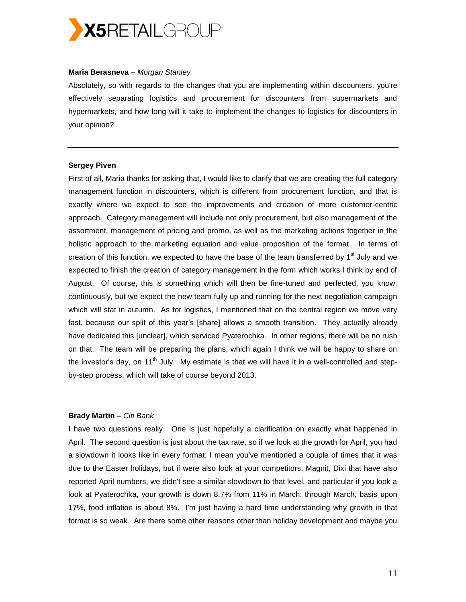

#### **Maria Berasneva** *– Morgan Stanley*

Absolutely, so with regards to the changes that you are implementing within discounters, you're effectively separating logistics and procurement for discounters from supermarkets and hypermarkets, and how long will it take to implement the changes to logistics for discounters in your opinion?

#### **Sergey Piven**

First of all, Maria thanks for asking that, I would like to clarify that we are creating the full category management function in discounters, which is different from procurement function, and that is exactly where we expect to see the improvements and creation of more customer-centric approach. Category management will include not only procurement, but also management of the assortment, management of pricing and promo, as well as the marketing actions together in the holistic approach to the marketing equation and value proposition of the format. In terms of creation of this function, we expected to have the base of the team transferred by  $1<sup>st</sup>$  July and we expected to finish the creation of category management in the form which works I think by end of August. Of course, this is something which will then be fine-tuned and perfected, you know, continuously, but we expect the new team fully up and running for the next negotiation campaign which will stat in autumn. As for logistics, I mentioned that on the central region we move very fast, because our split of this year's [share] allows a smooth transition. They actually already have dedicated this [unclear], which serviced Pyaterochka. In other regions, there will be no rush on that. The team will be preparing the plans, which again I think we will be happy to share on the investor's day, on 11<sup>th</sup> July. My estimate is that we will have it in a well-controlled and stepby-step process, which will take of course beyond 2013.

## **Brady Martin** *– Citi Bank*

I have two questions really. One is just hopefully a clarification on exactly what happened in April. The second question is just about the tax rate, so if we look at the growth for April, you had a slowdown it looks like in every format; I mean you've mentioned a couple of times that it was due to the Easter holidays, but if were also look at your competitors, Magnit, Dixi that have also reported April numbers, we didn't see a similar slowdown to that level, and particular if you look a look at Pyaterochka, your growth is down 8.7% from 11% in March; through March, basis upon 17%, food inflation is about 8%. I'm just having a hard time understanding why growth in that format is so weak. Are there some other reasons other than holiday development and maybe you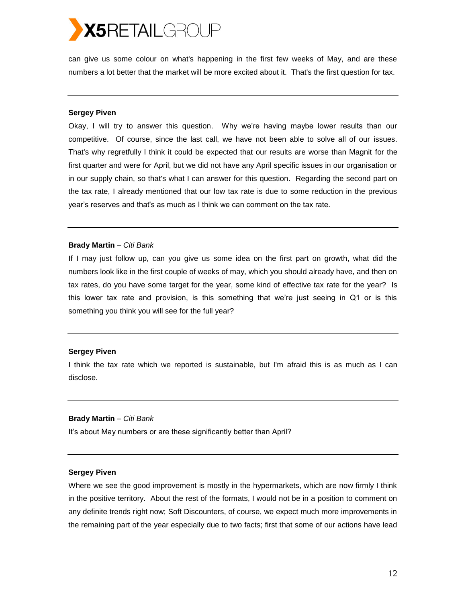# **X5RETAILGROUP**

can give us some colour on what's happening in the first few weeks of May, and are these numbers a lot better that the market will be more excited about it. That's the first question for tax.

#### **Sergey Piven**

Okay, I will try to answer this question. Why we're having maybe lower results than our competitive. Of course, since the last call, we have not been able to solve all of our issues. That's why regretfully I think it could be expected that our results are worse than Magnit for the first quarter and were for April, but we did not have any April specific issues in our organisation or in our supply chain, so that's what I can answer for this question. Regarding the second part on the tax rate, I already mentioned that our low tax rate is due to some reduction in the previous year's reserves and that's as much as I think we can comment on the tax rate.

#### **Brady Martin** *– Citi Bank*

If I may just follow up, can you give us some idea on the first part on growth, what did the numbers look like in the first couple of weeks of may, which you should already have, and then on tax rates, do you have some target for the year, some kind of effective tax rate for the year? Is this lower tax rate and provision, is this something that we're just seeing in Q1 or is this something you think you will see for the full year?

#### **Sergey Piven**

I think the tax rate which we reported is sustainable, but I'm afraid this is as much as I can disclose.

## **Brady Martin** *– Citi Bank*

It's about May numbers or are these significantly better than April?

#### **Sergey Piven**

Where we see the good improvement is mostly in the hypermarkets, which are now firmly I think in the positive territory. About the rest of the formats, I would not be in a position to comment on any definite trends right now; Soft Discounters, of course, we expect much more improvements in the remaining part of the year especially due to two facts; first that some of our actions have lead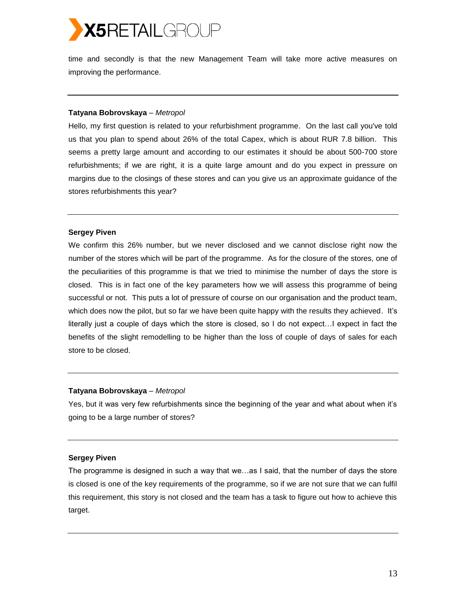

time and secondly is that the new Management Team will take more active measures on improving the performance.

#### **Tatyana Bobrovskaya** *– Metropol*

Hello, my first question is related to your refurbishment programme. On the last call you've told us that you plan to spend about 26% of the total Capex, which is about RUR 7.8 billion. This seems a pretty large amount and according to our estimates it should be about 500-700 store refurbishments; if we are right, it is a quite large amount and do you expect in pressure on margins due to the closings of these stores and can you give us an approximate guidance of the stores refurbishments this year?

## **Sergey Piven**

We confirm this 26% number, but we never disclosed and we cannot disclose right now the number of the stores which will be part of the programme. As for the closure of the stores, one of the peculiarities of this programme is that we tried to minimise the number of days the store is closed. This is in fact one of the key parameters how we will assess this programme of being successful or not. This puts a lot of pressure of course on our organisation and the product team, which does now the pilot, but so far we have been quite happy with the results they achieved. It's literally just a couple of days which the store is closed, so I do not expect…I expect in fact the benefits of the slight remodelling to be higher than the loss of couple of days of sales for each store to be closed.

#### **Tatyana Bobrovskaya** *– Metropol*

Yes, but it was very few refurbishments since the beginning of the year and what about when it's going to be a large number of stores?

#### **Sergey Piven**

The programme is designed in such a way that we…as I said, that the number of days the store is closed is one of the key requirements of the programme, so if we are not sure that we can fulfil this requirement, this story is not closed and the team has a task to figure out how to achieve this target.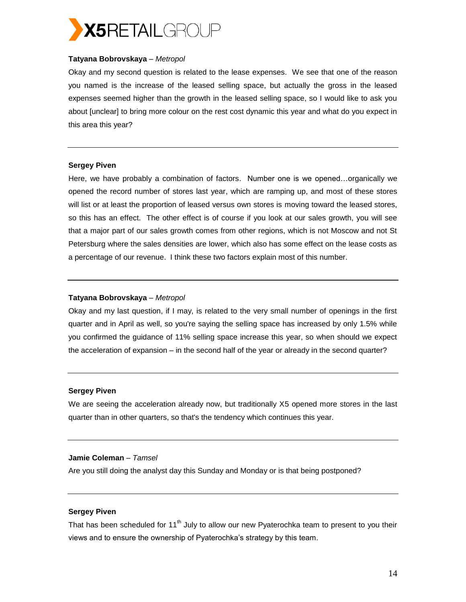

# **Tatyana Bobrovskaya** *– Metropol*

Okay and my second question is related to the lease expenses. We see that one of the reason you named is the increase of the leased selling space, but actually the gross in the leased expenses seemed higher than the growth in the leased selling space, so I would like to ask you about [unclear] to bring more colour on the rest cost dynamic this year and what do you expect in this area this year?

## **Sergey Piven**

Here, we have probably a combination of factors. Number one is we opened…organically we opened the record number of stores last year, which are ramping up, and most of these stores will list or at least the proportion of leased versus own stores is moving toward the leased stores, so this has an effect. The other effect is of course if you look at our sales growth, you will see that a major part of our sales growth comes from other regions, which is not Moscow and not St Petersburg where the sales densities are lower, which also has some effect on the lease costs as a percentage of our revenue. I think these two factors explain most of this number.

#### **Tatyana Bobrovskaya** *– Metropol*

Okay and my last question, if I may, is related to the very small number of openings in the first quarter and in April as well, so you're saying the selling space has increased by only 1.5% while you confirmed the guidance of 11% selling space increase this year, so when should we expect the acceleration of expansion – in the second half of the year or already in the second quarter?

#### **Sergey Piven**

We are seeing the acceleration already now, but traditionally X5 opened more stores in the last quarter than in other quarters, so that's the tendency which continues this year.

## **Jamie Coleman** *– Tamsel*

Are you still doing the analyst day this Sunday and Monday or is that being postponed?

# **Sergey Piven**

That has been scheduled for  $11<sup>th</sup>$  July to allow our new Pyaterochka team to present to you their views and to ensure the ownership of Pyaterochka's strategy by this team.